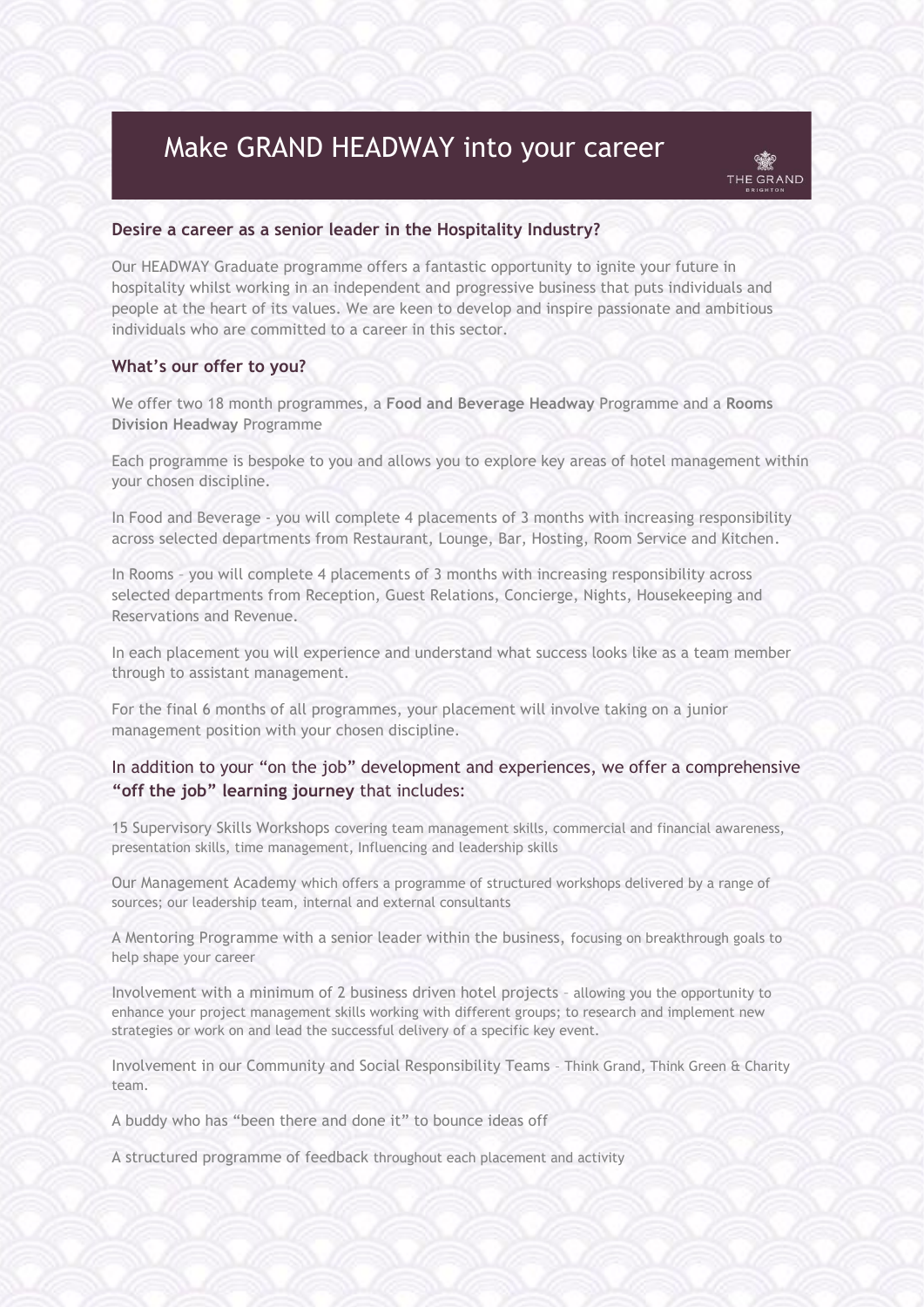# Make GRAND HEADWAY into your career

### **Desire a career as a senior leader in the Hospitality Industry?**

Our HEADWAY Graduate programme offers a fantastic opportunity to ignite your future in hospitality whilst working in an independent and progressive business that puts individuals and people at the heart of its values. We are keen to develop and inspire passionate and ambitious individuals who are committed to a career in this sector.

## **What's our offer to you?**

We offer two 18 month programmes, a **Food and Beverage Headway** Programme and a **Rooms Division Headway** Programme

Each programme is bespoke to you and allows you to explore key areas of hotel management within your chosen discipline.

In Food and Beverage - you will complete 4 placements of 3 months with increasing responsibility across selected departments from Restaurant, Lounge, Bar, Hosting, Room Service and Kitchen.

In Rooms – you will complete 4 placements of 3 months with increasing responsibility across selected departments from Reception, Guest Relations, Concierge, Nights, Housekeeping and Reservations and Revenue.

In each placement you will experience and understand what success looks like as a team member through to assistant management.

For the final 6 months of all programmes, your placement will involve taking on a junior management position with your chosen discipline.

## In addition to your "on the job" development and experiences, we offer a comprehensive **"off the job" learning journey** that includes:

15 Supervisory Skills Workshops covering team management skills, commercial and financial awareness, presentation skills, time management, Influencing and leadership skills

Our Management Academy which offers a programme of structured workshops delivered by a range of sources; our leadership team, internal and external consultants

A Mentoring Programme with a senior leader within the business, focusing on breakthrough goals to help shape your career

Involvement with a minimum of 2 business driven hotel projects – allowing you the opportunity to enhance your project management skills working with different groups; to research and implement new strategies or work on and lead the successful delivery of a specific key event.

Involvement in our Community and Social Responsibility Teams – Think Grand, Think Green & Charity team.

A buddy who has "been there and done it" to bounce ideas off

A structured programme of feedback throughout each placement and activity